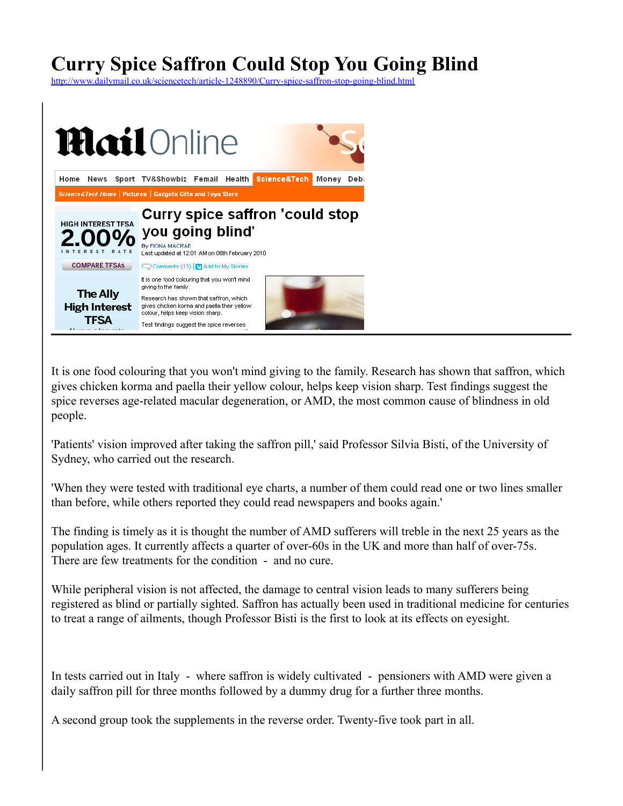## **Curry Spice Saffron Could Stop You Going Blind**

<http://www.dailymail.co.uk/sciencetech/article-1248890/Curry-spice-saffron-stop-going-blind.html>



It is one food colouring that you won't mind giving to the family. Research has shown that saffron, which gives chicken korma and paella their yellow colour, helps keep vision sharp. Test findings suggest the spice reverses age-related macular degeneration, or AMD, the most common cause of blindness in old people.

'Patients' vision improved after taking the saffron pill,' said Professor Silvia Bisti, of the University of Sydney, who carried out the research.

'When they were tested with traditional eye charts, a number of them could read one or two lines smaller than before, while others reported they could read newspapers and books again.'

The finding is timely as it is thought the number of AMD sufferers will treble in the next 25 years as the population ages. It currently affects a quarter of over-60s in the UK and more than half of over-75s. There are few treatments for the condition - and no cure.

While peripheral vision is not affected, the damage to central vision leads to many sufferers being registered as blind or partially sighted. Saffron has actually been used in traditional medicine for centuries to treat a range of ailments, though Professor Bisti is the first to look at its effects on eyesight.

In tests carried out in Italy - where saffron is widely cultivated - pensioners with AMD were given a daily saffron pill for three months followed by a dummy drug for a further three months.

A second group took the supplements in the reverse order. Twenty-five took part in all.